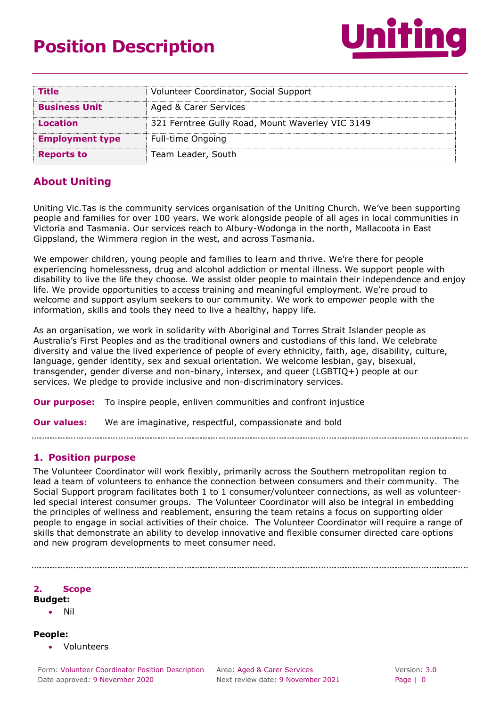# **Position Description**



| <b>Title</b>           | Volunteer Coordinator, Social Support            |
|------------------------|--------------------------------------------------|
| <b>Business Unit</b>   | Aged & Carer Services                            |
| Location               | 321 Ferntree Gully Road, Mount Waverley VIC 3149 |
| <b>Employment type</b> | Full-time Ongoing                                |
| <b>Reports to</b>      | Team Leader, South                               |

## **About Uniting**

Uniting Vic.Tas is the community services organisation of the Uniting Church. We've been supporting people and families for over 100 years. We work alongside people of all ages in local communities in Victoria and Tasmania. Our services reach to Albury-Wodonga in the north, Mallacoota in East Gippsland, the Wimmera region in the west, and across Tasmania.

We empower children, young people and families to learn and thrive. We're there for people experiencing homelessness, drug and alcohol addiction or mental illness. We support people with disability to live the life they choose. We assist older people to maintain their independence and enjoy life. We provide opportunities to access training and meaningful employment. We're proud to welcome and support asylum seekers to our community. We work to empower people with the information, skills and tools they need to live a healthy, happy life.

As an organisation, we work in solidarity with Aboriginal and Torres Strait Islander people as Australia's First Peoples and as the traditional owners and custodians of this land. We celebrate diversity and value the lived experience of people of every ethnicity, faith, age, disability, culture, language, gender identity, sex and sexual orientation. We welcome lesbian, gay, bisexual, transgender, gender diverse and non-binary, intersex, and queer (LGBTIQ+) people at our services. We pledge to provide inclusive and non-discriminatory services.

**Our purpose:** To inspire people, enliven communities and confront injustice

**Our values:** We are imaginative, respectful, compassionate and bold

## **1. Position purpose**

The Volunteer Coordinator will work flexibly, primarily across the Southern metropolitan region to lead a team of volunteers to enhance the connection between consumers and their community. The Social Support program facilitates both 1 to 1 consumer/volunteer connections, as well as volunteerled special interest consumer groups. The Volunteer Coordinator will also be integral in embedding the principles of wellness and reablement, ensuring the team retains a focus on supporting older people to engage in social activities of their choice. The Volunteer Coordinator will require a range of skills that demonstrate an ability to develop innovative and flexible consumer directed care options and new program developments to meet consumer need.

**2. Scope** 

- **Budget:**
	- Nil

**People:**

Volunteers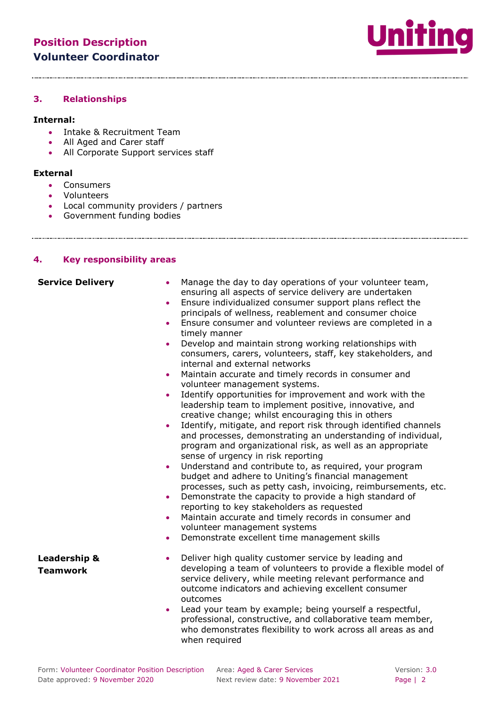

#### **3. Relationships**

#### **Internal:**

- Intake & Recruitment Team
- All Aged and Carer staff
- All Corporate Support services staff

#### **External**

- Consumers
- Volunteers

- Local community providers / partners
- Government funding bodies

## **4. Key responsibility**

| ł.<br>Key responsibility areas             |                                                                                                                                                                                                                                                                                                                                                                                                                                                                                                                                                                                                                                                                                                                                                                                                                                                                                                                                                                                                                                                                                                                                                                                                                                                                                                                                                                                                                                                                                                                                                                          |  |
|--------------------------------------------|--------------------------------------------------------------------------------------------------------------------------------------------------------------------------------------------------------------------------------------------------------------------------------------------------------------------------------------------------------------------------------------------------------------------------------------------------------------------------------------------------------------------------------------------------------------------------------------------------------------------------------------------------------------------------------------------------------------------------------------------------------------------------------------------------------------------------------------------------------------------------------------------------------------------------------------------------------------------------------------------------------------------------------------------------------------------------------------------------------------------------------------------------------------------------------------------------------------------------------------------------------------------------------------------------------------------------------------------------------------------------------------------------------------------------------------------------------------------------------------------------------------------------------------------------------------------------|--|
| <b>Service Delivery</b>                    | Manage the day to day operations of your volunteer team,<br>$\bullet$<br>ensuring all aspects of service delivery are undertaken<br>Ensure individualized consumer support plans reflect the<br>$\bullet$<br>principals of wellness, reablement and consumer choice<br>Ensure consumer and volunteer reviews are completed in a<br>$\bullet$<br>timely manner<br>Develop and maintain strong working relationships with<br>$\bullet$<br>consumers, carers, volunteers, staff, key stakeholders, and<br>internal and external networks<br>Maintain accurate and timely records in consumer and<br>$\bullet$<br>volunteer management systems.<br>Identify opportunities for improvement and work with the<br>$\bullet$<br>leadership team to implement positive, innovative, and<br>creative change; whilst encouraging this in others<br>Identify, mitigate, and report risk through identified channels<br>$\bullet$<br>and processes, demonstrating an understanding of individual,<br>program and organizational risk, as well as an appropriate<br>sense of urgency in risk reporting<br>Understand and contribute to, as required, your program<br>۰<br>budget and adhere to Uniting's financial management<br>processes, such as petty cash, invoicing, reimbursements, etc.<br>Demonstrate the capacity to provide a high standard of<br>$\bullet$<br>reporting to key stakeholders as requested<br>Maintain accurate and timely records in consumer and<br>$\bullet$<br>volunteer management systems<br>Demonstrate excellent time management skills<br>$\bullet$ |  |
| <b>Leadership &amp;</b><br><b>Teamwork</b> | Deliver high quality customer service by leading and<br>$\bullet$<br>developing a team of volunteers to provide a flexible model of<br>service delivery, while meeting relevant performance and<br>outcome indicators and achieving excellent consumer<br>outcomes<br>Lead your team by example; being yourself a respectful,<br>$\bullet$<br>professional, constructive, and collaborative team member,<br>who demonstrates flexibility to work across all areas as and<br>when required                                                                                                                                                                                                                                                                                                                                                                                                                                                                                                                                                                                                                                                                                                                                                                                                                                                                                                                                                                                                                                                                                |  |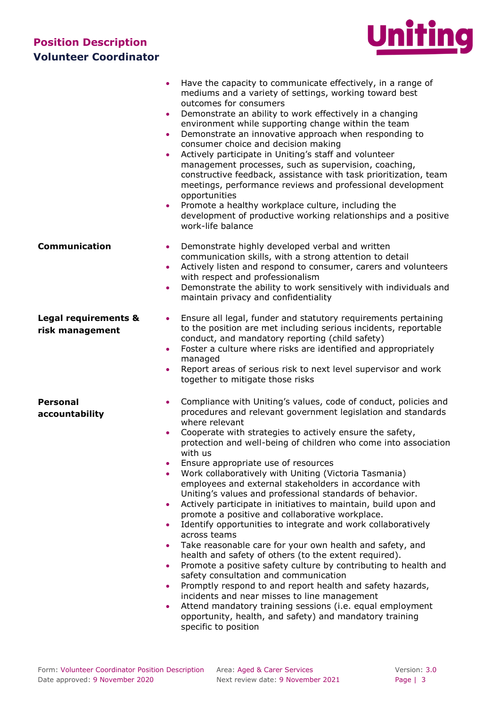

|                                         | Have the capacity to communicate effectively, in a range of<br>mediums and a variety of settings, working toward best<br>outcomes for consumers<br>Demonstrate an ability to work effectively in a changing<br>$\bullet$<br>environment while supporting change within the team<br>Demonstrate an innovative approach when responding to<br>$\bullet$<br>consumer choice and decision making<br>Actively participate in Uniting's staff and volunteer<br>management processes, such as supervision, coaching,<br>constructive feedback, assistance with task prioritization, team<br>meetings, performance reviews and professional development<br>opportunities<br>Promote a healthy workplace culture, including the<br>$\bullet$<br>development of productive working relationships and a positive<br>work-life balance                                                                                                                                                                                                                                                                                                                                                                                                                                                                                                              |
|-----------------------------------------|-----------------------------------------------------------------------------------------------------------------------------------------------------------------------------------------------------------------------------------------------------------------------------------------------------------------------------------------------------------------------------------------------------------------------------------------------------------------------------------------------------------------------------------------------------------------------------------------------------------------------------------------------------------------------------------------------------------------------------------------------------------------------------------------------------------------------------------------------------------------------------------------------------------------------------------------------------------------------------------------------------------------------------------------------------------------------------------------------------------------------------------------------------------------------------------------------------------------------------------------------------------------------------------------------------------------------------------------|
| <b>Communication</b>                    | Demonstrate highly developed verbal and written<br>$\bullet$<br>communication skills, with a strong attention to detail<br>Actively listen and respond to consumer, carers and volunteers<br>$\bullet$<br>with respect and professionalism<br>Demonstrate the ability to work sensitively with individuals and<br>$\bullet$<br>maintain privacy and confidentiality                                                                                                                                                                                                                                                                                                                                                                                                                                                                                                                                                                                                                                                                                                                                                                                                                                                                                                                                                                     |
| Legal requirements &<br>risk management | Ensure all legal, funder and statutory requirements pertaining<br>$\bullet$<br>to the position are met including serious incidents, reportable<br>conduct, and mandatory reporting (child safety)<br>Foster a culture where risks are identified and appropriately<br>$\bullet$<br>managed<br>Report areas of serious risk to next level supervisor and work<br>$\bullet$<br>together to mitigate those risks                                                                                                                                                                                                                                                                                                                                                                                                                                                                                                                                                                                                                                                                                                                                                                                                                                                                                                                           |
| <b>Personal</b><br>accountability       | Compliance with Uniting's values, code of conduct, policies and<br>$\bullet$<br>procedures and relevant government legislation and standards<br>where relevant<br>Cooperate with strategies to actively ensure the safety,<br>$\bullet$<br>protection and well-being of children who come into association<br>with us<br>Ensure appropriate use of resources<br>٠<br>Work collaboratively with Uniting (Victoria Tasmania)<br>٠<br>employees and external stakeholders in accordance with<br>Uniting's values and professional standards of behavior.<br>Actively participate in initiatives to maintain, build upon and<br>$\bullet$<br>promote a positive and collaborative workplace.<br>Identify opportunities to integrate and work collaboratively<br>$\bullet$<br>across teams<br>Take reasonable care for your own health and safety, and<br>$\bullet$<br>health and safety of others (to the extent required).<br>Promote a positive safety culture by contributing to health and<br>$\bullet$<br>safety consultation and communication<br>Promptly respond to and report health and safety hazards,<br>$\bullet$<br>incidents and near misses to line management<br>Attend mandatory training sessions (i.e. equal employment<br>$\bullet$<br>opportunity, health, and safety) and mandatory training<br>specific to position |